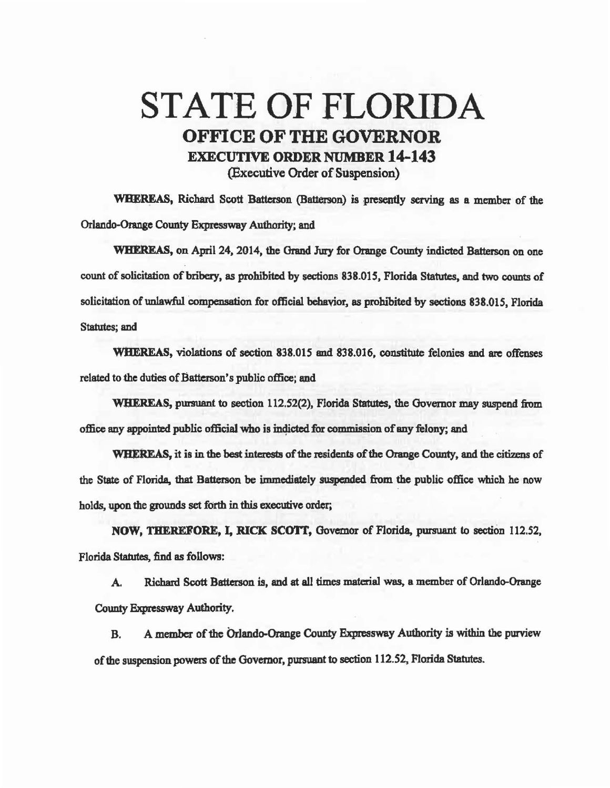## STATE OF FLORIDA OFFICE OF THE GOVERNOR EXECUTIVE ORDER NUMBER 14-143 (Executive Order of Suspension)

WHEREAS, Richard Scott Batterson (Batterson) is presently serving as a member of the Orlando-Orange County Expressway Authority; and

WHEREAS, on April 24, 2014, the Orand Jury for Orange County indicted Batterson on one count of solicitation of bribery, as prohibited by sections 838.015, Florida Statutes, and two counts of solicitation of unlawful compensation for official behavior, as prohibited by sections 838.015, Florida Statutes; and

WHEREAS, violations of section 838.015 and 838.016, constitute felonies and are offenses related to the duties of Batterson's public office; and

WHEREAS, pursuant to section 112.52(2), Florida Statutes, the Governor may suspend from office any appointed public official who is indicted for commission of any felony; and

WHEREAS, it is in the best interests of the residents of the Orange County, and the citizens of the State of Florida, that Batterson be immediately suspended from the public office which he now holds, upon the grounds set forth in *this* executive order;

NOW, THEREFORE, I, RICK SCOTT, Governor of Florida, pursuant to section 112.52, Florida Statutes, find as follows:

A. Richard Scott Batterson is, and at all times material was, a member of Orlando-Orange County Expressway Authority.

B. A member of the Orlando-Orange County Expressway Authority is within the purview of the suspension powers of the Governor, pursuant to section 112.52, Florida Statutes.